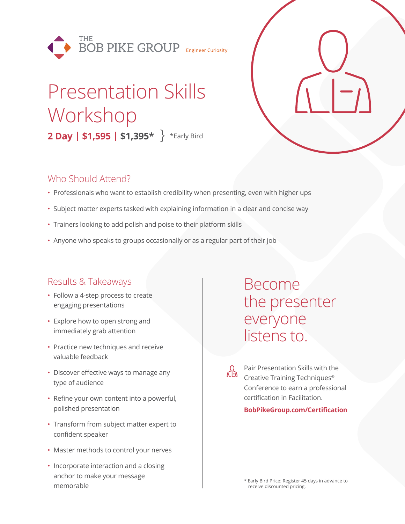

# Presentation Skills Workshop **2 Day | \$1,595 | \$1,395\*** \*Early Bird

### Who Should Attend?

- Professionals who want to establish credibility when presenting, even with higher ups
- Subject matter experts tasked with explaining information in a clear and concise way
- Trainers looking to add polish and poise to their platform skills
- Anyone who speaks to groups occasionally or as a regular part of their job

## Results & Takeaways

- Follow a 4-step process to create engaging presentations
- Explore how to open strong and immediately grab attention
- Practice new techniques and receive valuable feedback
- Discover effective ways to manage any type of audience
- Refine your own content into a powerful, polished presentation
- Transform from subject matter expert to confident speaker
- Master methods to control your nerves
- Incorporate interaction and a closing anchor to make your message memorable

# Become the presenter everyone listens to.

Pair Presentation Skills with the Creative Training Techniques® Conference to earn a professional certification in Facilitation.

#### **BobPikeGroup.com/Certification**

\* Early Bird Price: Register 45 days in advance to receive discounted pricing.